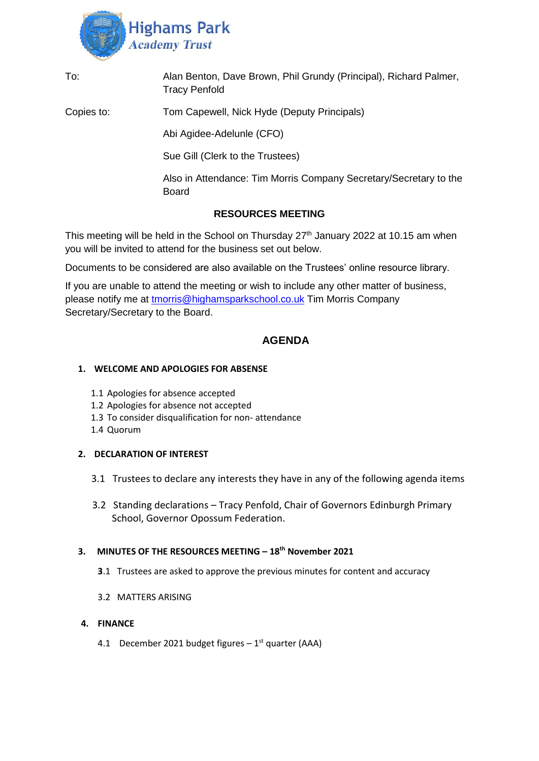

| To:        | Alan Benton, Dave Brown, Phil Grundy (Principal), Richard Palmer,<br><b>Tracy Penfold</b> |
|------------|-------------------------------------------------------------------------------------------|
| Copies to: | Tom Capewell, Nick Hyde (Deputy Principals)                                               |
|            | Abi Agidee-Adelunle (CFO)                                                                 |
|            | Sue Gill (Clerk to the Trustees)                                                          |
|            | Also in Attendance: Tim Morris Company Secretary/Secretary to the<br><b>Board</b>         |
|            | <b>RESOURCES MEETING</b>                                                                  |

This meeting will be held in the School on Thursday  $27<sup>th</sup>$  January 2022 at 10.15 am when you will be invited to attend for the business set out below.

Documents to be considered are also available on the Trustees' online resource library.

If you are unable to attend the meeting or wish to include any other matter of business, please notify me at [tmorris@highamsparkschool.co.uk](mailto:tmorris@highamsparkschool.co.uk) Tim Morris Company Secretary/Secretary to the Board.

# **AGENDA**

# **1. WELCOME AND APOLOGIES FOR ABSENSE**

- 1.1 Apologies for absence accepted
- 1.2 Apologies for absence not accepted
- 1.3 To consider disqualification for non- attendance
- 1.4 Quorum

# **2. DECLARATION OF INTEREST**

- 3.1 Trustees to declare any interests they have in any of the following agenda items
- 3.2 Standing declarations Tracy Penfold, Chair of Governors Edinburgh Primary School, Governor Opossum Federation.

# **3. MINUTES OF THE RESOURCES MEETING – 18th November 2021**

- **3**.1 Trustees are asked to approve the previous minutes for content and accuracy
- 3.2 MATTERS ARISING

# **4. FINANCE**

4.1 December 2021 budget figures  $-1<sup>st</sup>$  quarter (AAA)